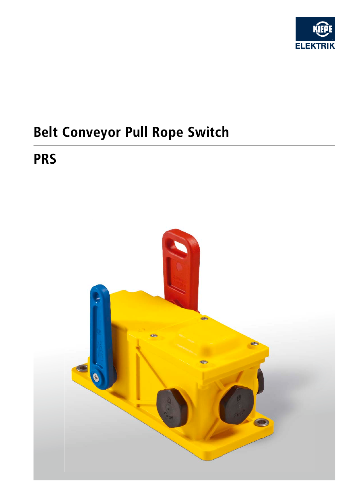

# **Belt Conveyor Pull Rope Switch**

## **PRS**

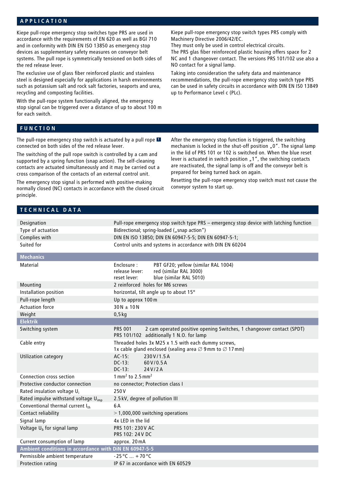#### **APPLICATION**

Kiepe pull-rope emergency stop switches type PRS are used in accordance with the requirements of EN 620 as well as BGI 710 and in conformity with DIN EN ISO 13850 as emergency stop devices as supplementary safety measures on conveyor belt systems. The pull rope is symmetrically tensioned on both sides of the red release lever.

The exclusive use of glass fiber reinforced plastic and stainless steel is designed especially for applications in harsh environments such as potassium salt and rock salt factories, seaports and urea, recycling and composting facilities.

With the pull-rope system functionally aligned, the emergency stop signal can be triggered over a distance of up to about 100 m for each switch.

Kiepe pull-rope emergency stop switch types PRS comply with Machinery Directive 2006/42/EC.

They must only be used in control electrical circuits. The PRS glas fiber reinforeced plastic housing offers space for 2 NC and 1 changeover contact. The versions PRS 101/102 use also a NO contact for a signal lamp.

Taking into consideration the safety data and maintenance recommendations, the pull-rope emergency stop switch type PRS can be used in safety circuits in accordance with DIN EN IS0 13849 up to Performance Level c (PLc).

After the emergency stop function is triggered, the switching mechanism is locked in the shut-off position "0". The signal lamp in the lid of PRS 101 or 102 is switched on. When the blue reset lever is actuated in switch position  $n$ 1", the switching contacts are reactivated, the signal lamp is off and the convevor belt is

Resetting the pull-rope emergency stop switch must not cause the

prepared for being turned back on again.

conveyor system to start up.

#### **FUNCTION**

The pull-rope emergency stop switch is actuated by a pull rope **<sup>1</sup>** connected on both sides of the red release lever.

The switching of the pull rope switch is controlled by a cam and supported by a spring function (snap action). The self-cleaning contacts are actuated simultaneously and it may be carried out a cross comparison of the contacts of an external control unit.

The emergency stop signal is performed with positive-making normally closed (NC) contacts in accordance with the closed circuit principle.

### **TECHNICAL DATA**

Designation Pull-rope emergency stop switch type PRS – emergency stop device with latching function Type of actuation **Bidirectional**; spring-loaded ("snap action") Complies with DIN EN ISO 13850; DIN EN 60947-5-5; DIN EN 60947-5-1; Suited for Control units and systems in accordance with DIN EN 60204 **Mechanics** Material Enclosure : PBT GF20; yellow (similar RAL 1004) release lever: red (similar RAL 3000) reset lever: blue (similar RAL 5010) Mounting 2 reinforced holes for M6 screws Installation position horizontal, tilt angle up to about 15° Pull-rope length Up to approx 100m Actuation force  $30N \pm 10N$ Weight 0,5kg **Elektrik** Switching system PRS 001 2 cam operated positive opening Switches, 1 changeover contact (SPDT) PRS 101/102 additionally 1 N.O. for lamp Cable entry **Threaded holes 3x M25 x 1.5 with each dummy screws**, 1x cable gland enclosed (sealing area ∅ 9mm to ∅ 17mm) Utilization category MC-15: 230 V/1.5 A DC-13: 60V/0.5A DC-13: 24V/2A Connection cross section  $1 \text{ mm}^2$  to  $2.5 \text{ mm}^2$ Protective conductor connection no connector; Protection class I Rated insulation voltage U<sub>i</sub> 250 V Rated impulse withstand voltage  $U_{\text{imp}} = 2.5 \text{ kV}$ , degree of pollution III Conventional thermal current  $I_{th}$  6A Contact reliability > 1,000,000 switching operations Signal lamp 4x LED in the lid Voltage  $U_b$  for signal lamp PRS 101: 230 V AC PRS 102: 24V DC Current consumption of lamp approx. 20 mA **Ambient conditions in accordance with DiN EN 60947-5-5** Permissible ambient temperature  $-25^{\circ}$ C  $... +70^{\circ}$ C Protection rating IP 67 in accordance with EN 60529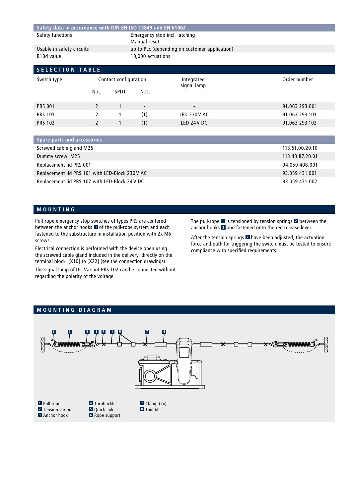| Safety data in accordance with DIN EN ISO 13849 and EN 61062 |                       |             |                                               |                           |                |  |  |
|--------------------------------------------------------------|-----------------------|-------------|-----------------------------------------------|---------------------------|----------------|--|--|
| Safety functions                                             |                       |             | Emergency stop incl. latching<br>Manual reset |                           |                |  |  |
| Usable in safety circuits                                    |                       |             | up to PLc (depending on customer application) |                           |                |  |  |
| B10d value                                                   |                       |             | 10,000 actuations                             |                           |                |  |  |
|                                                              |                       |             |                                               |                           |                |  |  |
| <b>SELECTION TABLE</b>                                       |                       |             |                                               |                           |                |  |  |
| Switch type                                                  | Contact configuration |             |                                               | Integrated<br>signal lamp | Order number   |  |  |
|                                                              | N.C.                  | <b>SPDT</b> | N.O.                                          |                           |                |  |  |
|                                                              |                       |             |                                               |                           |                |  |  |
| <b>PRS 001</b>                                               |                       |             | $\overline{\phantom{a}}$                      |                           | 91.063 293.001 |  |  |
|                                                              |                       |             |                                               |                           |                |  |  |

| <b>Spare parts and accessories</b>             |                 |
|------------------------------------------------|-----------------|
| Screwed cable gland M25                        | 113.51.00.20.10 |
| Dummy screw M25                                | 113.43.87.20.01 |
| Replacement lid PRS 001                        | 94.059 408.001  |
| Replacement lid PRS 101 with LED-Block 230V AC | 93.059 431.001  |
| Replacement lid PRS 102 with LED-Block 24V DC  | 93.059 431.002  |

PRS 101 2 1 (1) LED 230V AC 91.063 293.101 PRS 102 2 1 (1) LED 24V DC 91.063 293.102

#### **MOUNTING**

Pull-rope emergency stop switches of types PRS are centered between the anchor hooks **3** of the pull-rope system and each fastened to the substructure in installation position with 2x M6 screws.

Electrical connection is performed with the device open using the screwed cable gland included in the delivery, directly on the terminal block [X10] to [X22] (see the connection drawings).

The signal lamp of DC-Variant PRS 102 can be connected without regarding the polarity of the voltage.

The pull-rope **1** is tensioned by tension springs **2** between the anchor hooks **3** and fastened onto the red release lever.

After the tension springs **2** have been adjusted, the actuation force and path for triggering the switch must be tested to ensure compliance with specified requirements.

#### **MOUNTING DIAGRAM**